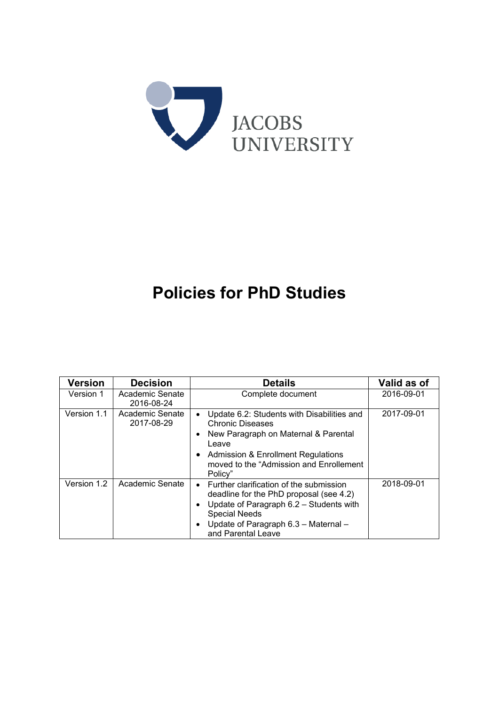

# **Policies for PhD Studies**

| <b>Version</b> | <b>Decision</b>               | <b>Details</b>                                                                                                                                                                                                                                     | Valid as of |
|----------------|-------------------------------|----------------------------------------------------------------------------------------------------------------------------------------------------------------------------------------------------------------------------------------------------|-------------|
| Version 1      | Academic Senate<br>2016-08-24 | Complete document                                                                                                                                                                                                                                  | 2016-09-01  |
| Version 1.1    | Academic Senate<br>2017-08-29 | Update 6.2: Students with Disabilities and<br>$\bullet$<br>Chronic Diseases<br>New Paragraph on Maternal & Parental<br>$\bullet$<br>Leave<br>Admission & Enrollment Regulations<br>$\bullet$<br>moved to the "Admission and Enrollement<br>Policy" | 2017-09-01  |
| Version 1.2    | Academic Senate               | • Further clarification of the submission<br>deadline for the PhD proposal (see 4.2)<br>Update of Paragraph 6.2 - Students with<br><b>Special Needs</b><br>Update of Paragraph 6.3 - Maternal -<br>and Parental Leave                              | 2018-09-01  |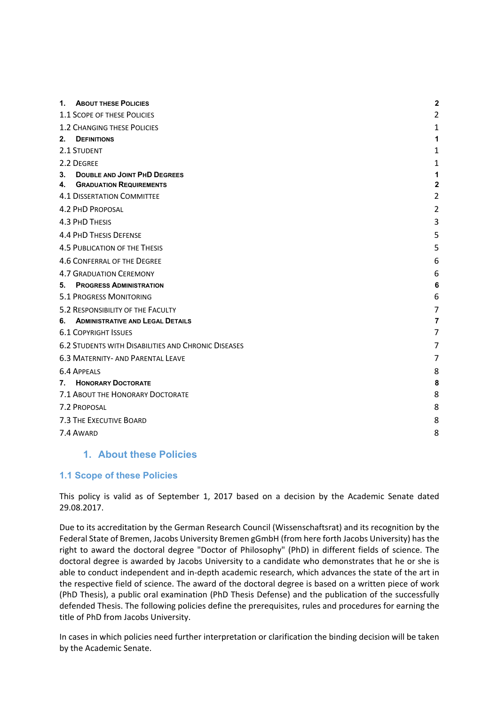| 1. ABOUT THESE POLICIES                                    | $\overline{\mathbf{2}}$ |  |
|------------------------------------------------------------|-------------------------|--|
| 1.1 SCOPE OF THESE POLICIES                                |                         |  |
| <b>1.2 CHANGING THESE POLICIES</b>                         | 1                       |  |
| <b>DEFINITIONS</b><br>$2_{-}$                              | 1                       |  |
| 2.1 STUDENT                                                | 1                       |  |
| 2.2 DEGREE                                                 | 1                       |  |
| <b>DOUBLE AND JOINT PHD DEGREES</b><br>3.                  | 1                       |  |
| <b>GRADUATION REQUIREMENTS</b><br>4.                       | $\mathbf{2}$            |  |
| <b>4.1 DISSERTATION COMMITTEE</b>                          | $\overline{2}$          |  |
| <b>4.2 PHD PROPOSAL</b>                                    | $\overline{2}$          |  |
| 4.3 PHD THESIS                                             | 3                       |  |
| <b>4.4 PHD THESIS DEFENSE</b>                              | 5                       |  |
| <b>4.5 PUBLICATION OF THE THESIS</b>                       | 5                       |  |
| 4.6 CONFERRAL OF THE DEGREE                                | 6                       |  |
| <b>4.7 GRADUATION CEREMONY</b>                             | 6                       |  |
| <b>PROGRESS ADMINISTRATION</b><br>5.                       | 6                       |  |
| <b>5.1 PROGRESS MONITORING</b>                             | 6                       |  |
| 5.2 RESPONSIBILITY OF THE FACULTY                          | 7                       |  |
| <b>ADMINISTRATIVE AND LEGAL DETAILS</b><br>6.              | 7                       |  |
| <b>6.1 COPYRIGHT ISSUES</b>                                | 7                       |  |
| <b>6.2 STUDENTS WITH DISABILITIES AND CHRONIC DISEASES</b> | 7                       |  |
| <b>6.3 MATERNITY- AND PARENTAL LEAVE</b>                   | 7                       |  |
| <b>6.4 APPEALS</b>                                         | 8                       |  |
| <b>HONORARY DOCTORATE</b><br>7.                            | 8                       |  |
| 7.1 ABOUT THE HONORARY DOCTORATE                           | 8                       |  |
| 7.2 PROPOSAL                                               | 8                       |  |
| 7.3 THE EXECUTIVE BOARD                                    | 8                       |  |
| 7.4 AWARD                                                  | 8                       |  |
|                                                            |                         |  |

## **1. About these Policies**

#### **1.1 Scope of these Policies**

This policy is valid as of September 1, 2017 based on a decision by the Academic Senate dated 29.08.2017.

Due to its accreditation by the German Research Council (Wissenschaftsrat) and its recognition by the Federal State of Bremen, Jacobs University Bremen gGmbH (from here forth Jacobs University) has the right to award the doctoral degree "Doctor of Philosophy" (PhD) in different fields of science. The doctoral degree is awarded by Jacobs University to a candidate who demonstrates that he or she is able to conduct independent and in‐depth academic research, which advances the state of the art in the respective field of science. The award of the doctoral degree is based on a written piece of work (PhD Thesis), a public oral examination (PhD Thesis Defense) and the publication of the successfully defended Thesis. The following policies define the prerequisites, rules and procedures for earning the title of PhD from Jacobs University.

In cases in which policies need further interpretation or clarification the binding decision will be taken by the Academic Senate.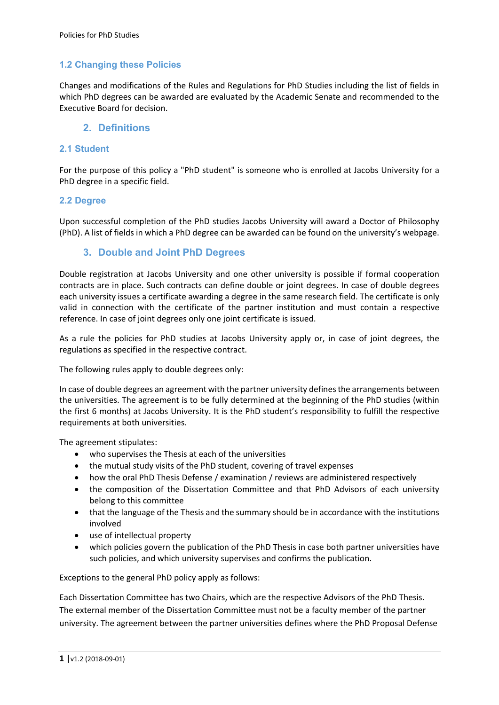# **1.2 Changing these Policies**

Changes and modifications of the Rules and Regulations for PhD Studies including the list of fields in which PhD degrees can be awarded are evaluated by the Academic Senate and recommended to the Executive Board for decision.

### **2. Definitions**

### **2.1 Student**

For the purpose of this policy a "PhD student" is someone who is enrolled at Jacobs University for a PhD degree in a specific field.

#### **2.2 Degree**

Upon successful completion of the PhD studies Jacobs University will award a Doctor of Philosophy (PhD). A list of fields in which a PhD degree can be awarded can be found on the university's webpage.

# **3. Double and Joint PhD Degrees**

Double registration at Jacobs University and one other university is possible if formal cooperation contracts are in place. Such contracts can define double or joint degrees. In case of double degrees each university issues a certificate awarding a degree in the same research field. The certificate is only valid in connection with the certificate of the partner institution and must contain a respective reference. In case of joint degrees only one joint certificate is issued.

As a rule the policies for PhD studies at Jacobs University apply or, in case of joint degrees, the regulations as specified in the respective contract.

The following rules apply to double degrees only:

In case of double degrees an agreement with the partner university defines the arrangements between the universities. The agreement is to be fully determined at the beginning of the PhD studies (within the first 6 months) at Jacobs University. It is the PhD student's responsibility to fulfill the respective requirements at both universities.

The agreement stipulates:

- who supervises the Thesis at each of the universities
- the mutual study visits of the PhD student, covering of travel expenses
- how the oral PhD Thesis Defense / examination / reviews are administered respectively
- the composition of the Dissertation Committee and that PhD Advisors of each university belong to this committee
- that the language of the Thesis and the summary should be in accordance with the institutions involved
- use of intellectual property
- which policies govern the publication of the PhD Thesis in case both partner universities have such policies, and which university supervises and confirms the publication.

Exceptions to the general PhD policy apply as follows:

Each Dissertation Committee has two Chairs, which are the respective Advisors of the PhD Thesis. The external member of the Dissertation Committee must not be a faculty member of the partner university. The agreement between the partner universities defines where the PhD Proposal Defense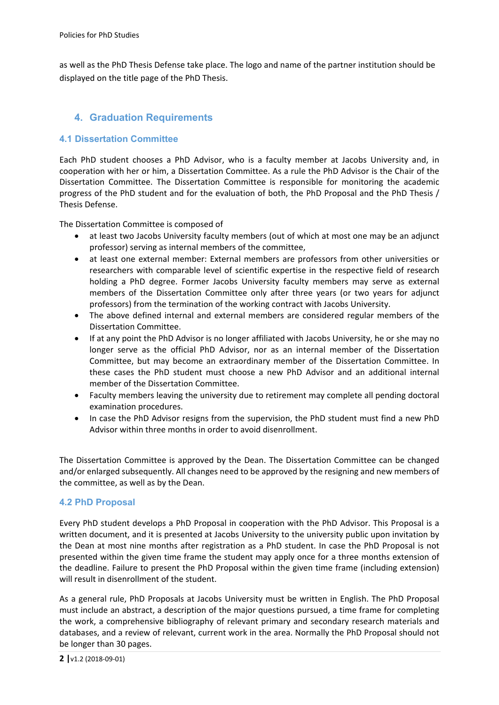as well as the PhD Thesis Defense take place. The logo and name of the partner institution should be displayed on the title page of the PhD Thesis.

# **4. Graduation Requirements**

## **4.1 Dissertation Committee**

Each PhD student chooses a PhD Advisor, who is a faculty member at Jacobs University and, in cooperation with her or him, a Dissertation Committee. As a rule the PhD Advisor is the Chair of the Dissertation Committee. The Dissertation Committee is responsible for monitoring the academic progress of the PhD student and for the evaluation of both, the PhD Proposal and the PhD Thesis / Thesis Defense.

The Dissertation Committee is composed of

- at least two Jacobs University faculty members (out of which at most one may be an adjunct professor) serving as internal members of the committee,
- at least one external member: External members are professors from other universities or researchers with comparable level of scientific expertise in the respective field of research holding a PhD degree. Former Jacobs University faculty members may serve as external members of the Dissertation Committee only after three years (or two years for adjunct professors) from the termination of the working contract with Jacobs University.
- The above defined internal and external members are considered regular members of the Dissertation Committee.
- If at any point the PhD Advisor is no longer affiliated with Jacobs University, he or she may no longer serve as the official PhD Advisor, nor as an internal member of the Dissertation Committee, but may become an extraordinary member of the Dissertation Committee. In these cases the PhD student must choose a new PhD Advisor and an additional internal member of the Dissertation Committee.
- Faculty members leaving the university due to retirement may complete all pending doctoral examination procedures.
- In case the PhD Advisor resigns from the supervision, the PhD student must find a new PhD Advisor within three months in order to avoid disenrollment.

The Dissertation Committee is approved by the Dean. The Dissertation Committee can be changed and/or enlarged subsequently. All changes need to be approved by the resigning and new members of the committee, as well as by the Dean.

#### **4.2 PhD Proposal**

Every PhD student develops a PhD Proposal in cooperation with the PhD Advisor. This Proposal is a written document, and it is presented at Jacobs University to the university public upon invitation by the Dean at most nine months after registration as a PhD student. In case the PhD Proposal is not presented within the given time frame the student may apply once for a three months extension of the deadline. Failure to present the PhD Proposal within the given time frame (including extension) will result in disenrollment of the student.

As a general rule, PhD Proposals at Jacobs University must be written in English. The PhD Proposal must include an abstract, a description of the major questions pursued, a time frame for completing the work, a comprehensive bibliography of relevant primary and secondary research materials and databases, and a review of relevant, current work in the area. Normally the PhD Proposal should not be longer than 30 pages.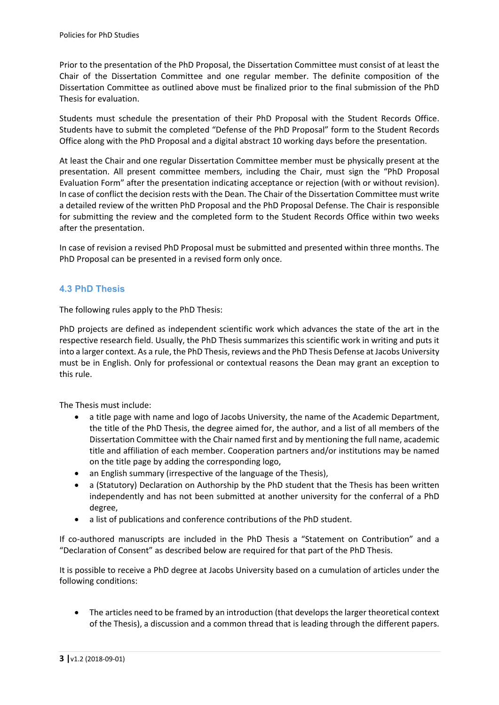Prior to the presentation of the PhD Proposal, the Dissertation Committee must consist of at least the Chair of the Dissertation Committee and one regular member. The definite composition of the Dissertation Committee as outlined above must be finalized prior to the final submission of the PhD Thesis for evaluation.

Students must schedule the presentation of their PhD Proposal with the Student Records Office. Students have to submit the completed "Defense of the PhD Proposal" form to the Student Records Office along with the PhD Proposal and a digital abstract 10 working days before the presentation.

At least the Chair and one regular Dissertation Committee member must be physically present at the presentation. All present committee members, including the Chair, must sign the "PhD Proposal Evaluation Form" after the presentation indicating acceptance or rejection (with or without revision). In case of conflict the decision rests with the Dean. The Chair of the Dissertation Committee must write a detailed review of the written PhD Proposal and the PhD Proposal Defense. The Chair is responsible for submitting the review and the completed form to the Student Records Office within two weeks after the presentation.

In case of revision a revised PhD Proposal must be submitted and presented within three months. The PhD Proposal can be presented in a revised form only once.

## **4.3 PhD Thesis**

The following rules apply to the PhD Thesis:

PhD projects are defined as independent scientific work which advances the state of the art in the respective research field. Usually, the PhD Thesis summarizes this scientific work in writing and puts it into a larger context. As a rule, the PhD Thesis, reviews and the PhD Thesis Defense at Jacobs University must be in English. Only for professional or contextual reasons the Dean may grant an exception to this rule.

The Thesis must include:

- a title page with name and logo of Jacobs University, the name of the Academic Department, the title of the PhD Thesis, the degree aimed for, the author, and a list of all members of the Dissertation Committee with the Chair named first and by mentioning the full name, academic title and affiliation of each member. Cooperation partners and/or institutions may be named on the title page by adding the corresponding logo,
- an English summary (irrespective of the language of the Thesis),
- a (Statutory) Declaration on Authorship by the PhD student that the Thesis has been written independently and has not been submitted at another university for the conferral of a PhD degree,
- a list of publications and conference contributions of the PhD student.

If co-authored manuscripts are included in the PhD Thesis a "Statement on Contribution" and a "Declaration of Consent" as described below are required for that part of the PhD Thesis.

It is possible to receive a PhD degree at Jacobs University based on a cumulation of articles under the following conditions:

• The articles need to be framed by an introduction (that develops the larger theoretical context of the Thesis), a discussion and a common thread that is leading through the different papers.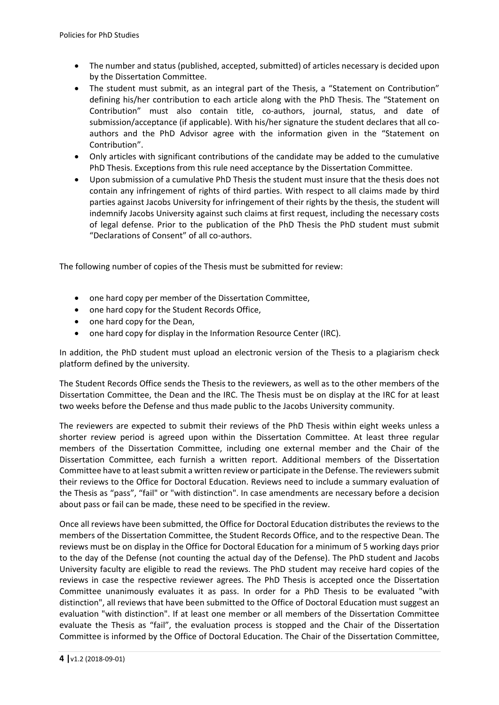- The number and status (published, accepted, submitted) of articles necessary is decided upon by the Dissertation Committee.
- The student must submit, as an integral part of the Thesis, a "Statement on Contribution" defining his/her contribution to each article along with the PhD Thesis. The "Statement on Contribution" must also contain title, co-authors, journal, status, and date of submission/acceptance (if applicable). With his/her signature the student declares that all coauthors and the PhD Advisor agree with the information given in the "Statement on Contribution".
- Only articles with significant contributions of the candidate may be added to the cumulative PhD Thesis. Exceptions from this rule need acceptance by the Dissertation Committee.
- Upon submission of a cumulative PhD Thesis the student must insure that the thesis does not contain any infringement of rights of third parties. With respect to all claims made by third parties against Jacobs University for infringement of their rights by the thesis, the student will indemnify Jacobs University against such claims at first request, including the necessary costs of legal defense. Prior to the publication of the PhD Thesis the PhD student must submit "Declarations of Consent" of all co‐authors.

The following number of copies of the Thesis must be submitted for review:

- one hard copy per member of the Dissertation Committee,
- one hard copy for the Student Records Office,
- one hard copy for the Dean,
- one hard copy for display in the Information Resource Center (IRC).

In addition, the PhD student must upload an electronic version of the Thesis to a plagiarism check platform defined by the university.

The Student Records Office sends the Thesis to the reviewers, as well as to the other members of the Dissertation Committee, the Dean and the IRC. The Thesis must be on display at the IRC for at least two weeks before the Defense and thus made public to the Jacobs University community.

The reviewers are expected to submit their reviews of the PhD Thesis within eight weeks unless a shorter review period is agreed upon within the Dissertation Committee. At least three regular members of the Dissertation Committee, including one external member and the Chair of the Dissertation Committee, each furnish a written report. Additional members of the Dissertation Committee have to at least submit a written review or participate in the Defense. The reviewers submit their reviews to the Office for Doctoral Education. Reviews need to include a summary evaluation of the Thesis as "pass", "fail" or "with distinction". In case amendments are necessary before a decision about pass or fail can be made, these need to be specified in the review.

Once all reviews have been submitted, the Office for Doctoral Education distributes the reviews to the members of the Dissertation Committee, the Student Records Office, and to the respective Dean. The reviews must be on display in the Office for Doctoral Education for a minimum of 5 working days prior to the day of the Defense (not counting the actual day of the Defense). The PhD student and Jacobs University faculty are eligible to read the reviews. The PhD student may receive hard copies of the reviews in case the respective reviewer agrees. The PhD Thesis is accepted once the Dissertation Committee unanimously evaluates it as pass. In order for a PhD Thesis to be evaluated "with distinction", all reviews that have been submitted to the Office of Doctoral Education must suggest an evaluation "with distinction". If at least one member or all members of the Dissertation Committee evaluate the Thesis as "fail", the evaluation process is stopped and the Chair of the Dissertation Committee is informed by the Office of Doctoral Education. The Chair of the Dissertation Committee,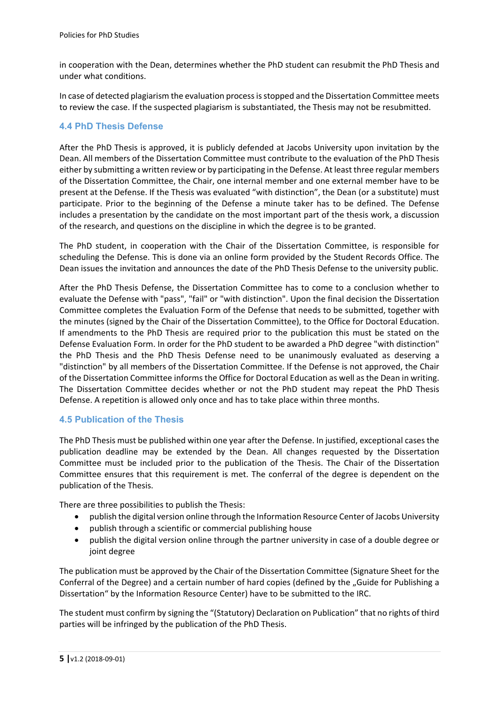in cooperation with the Dean, determines whether the PhD student can resubmit the PhD Thesis and under what conditions.

In case of detected plagiarism the evaluation process is stopped and the Dissertation Committee meets to review the case. If the suspected plagiarism is substantiated, the Thesis may not be resubmitted.

### **4.4 PhD Thesis Defense**

After the PhD Thesis is approved, it is publicly defended at Jacobs University upon invitation by the Dean. All members of the Dissertation Committee must contribute to the evaluation of the PhD Thesis either by submitting a written review or by participating in the Defense. At least three regular members of the Dissertation Committee, the Chair, one internal member and one external member have to be present at the Defense. If the Thesis was evaluated "with distinction", the Dean (or a substitute) must participate. Prior to the beginning of the Defense a minute taker has to be defined. The Defense includes a presentation by the candidate on the most important part of the thesis work, a discussion of the research, and questions on the discipline in which the degree is to be granted.

The PhD student, in cooperation with the Chair of the Dissertation Committee, is responsible for scheduling the Defense. This is done via an online form provided by the Student Records Office. The Dean issues the invitation and announces the date of the PhD Thesis Defense to the university public.

After the PhD Thesis Defense, the Dissertation Committee has to come to a conclusion whether to evaluate the Defense with "pass", "fail" or "with distinction". Upon the final decision the Dissertation Committee completes the Evaluation Form of the Defense that needs to be submitted, together with the minutes (signed by the Chair of the Dissertation Committee), to the Office for Doctoral Education. If amendments to the PhD Thesis are required prior to the publication this must be stated on the Defense Evaluation Form. In order for the PhD student to be awarded a PhD degree "with distinction" the PhD Thesis and the PhD Thesis Defense need to be unanimously evaluated as deserving a "distinction" by all members of the Dissertation Committee. If the Defense is not approved, the Chair of the Dissertation Committee informs the Office for Doctoral Education as well as the Dean in writing. The Dissertation Committee decides whether or not the PhD student may repeat the PhD Thesis Defense. A repetition is allowed only once and has to take place within three months.

#### **4.5 Publication of the Thesis**

The PhD Thesis must be published within one year after the Defense. In justified, exceptional cases the publication deadline may be extended by the Dean. All changes requested by the Dissertation Committee must be included prior to the publication of the Thesis. The Chair of the Dissertation Committee ensures that this requirement is met. The conferral of the degree is dependent on the publication of the Thesis.

There are three possibilities to publish the Thesis:

- publish the digital version online through the Information Resource Center of Jacobs University
- publish through a scientific or commercial publishing house
- publish the digital version online through the partner university in case of a double degree or joint degree

The publication must be approved by the Chair of the Dissertation Committee (Signature Sheet for the Conferral of the Degree) and a certain number of hard copies (defined by the "Guide for Publishing a Dissertation" by the Information Resource Center) have to be submitted to the IRC.

The student must confirm by signing the "(Statutory) Declaration on Publication" that no rights of third parties will be infringed by the publication of the PhD Thesis.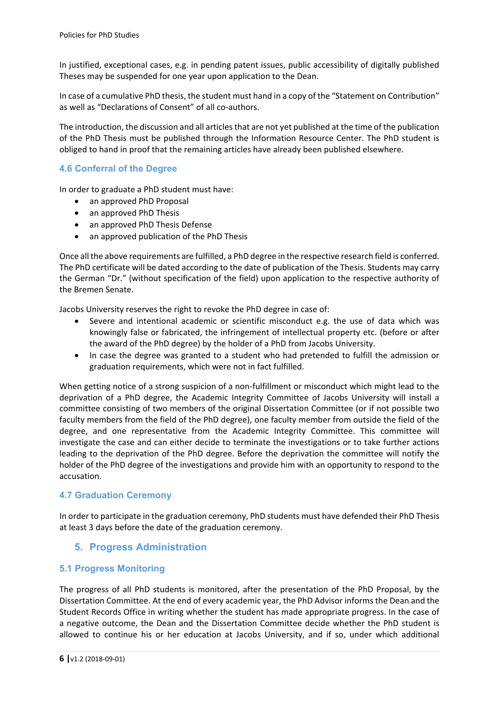In justified, exceptional cases, e.g. in pending patent issues, public accessibility of digitally published Theses may be suspended for one year upon application to the Dean.

In case of a cumulative PhD thesis, the student must hand in a copy of the "Statement on Contribution" as well as "Declarations of Consent" of all co-authors.

The introduction, the discussion and all articles that are not yet published at the time of the publication of the PhD Thesis must be published through the Information Resource Center. The PhD student is obliged to hand in proof that the remaining articles have already been published elsewhere.

## **4.6 Conferral of the Degree**

In order to graduate a PhD student must have:

- an approved PhD Proposal
- an approved PhD Thesis
- an approved PhD Thesis Defense
- an approved publication of the PhD Thesis

Once all the above requirements are fulfilled, a PhD degree in the respective research field is conferred. The PhD certificate will be dated according to the date of publication of the Thesis. Students may carry the German "Dr." (without specification of the field) upon application to the respective authority of the Bremen Senate.

Jacobs University reserves the right to revoke the PhD degree in case of:

- Severe and intentional academic or scientific misconduct e.g. the use of data which was knowingly false or fabricated, the infringement of intellectual property etc. (before or after the award of the PhD degree) by the holder of a PhD from Jacobs University.
- In case the degree was granted to a student who had pretended to fulfill the admission or graduation requirements, which were not in fact fulfilled.

When getting notice of a strong suspicion of a non-fulfillment or misconduct which might lead to the deprivation of a PhD degree, the Academic Integrity Committee of Jacobs University will install a committee consisting of two members of the original Dissertation Committee (or if not possible two faculty members from the field of the PhD degree), one faculty member from outside the field of the degree, and one representative from the Academic Integrity Committee. This committee will investigate the case and can either decide to terminate the investigations or to take further actions leading to the deprivation of the PhD degree. Before the deprivation the committee will notify the holder of the PhD degree of the investigations and provide him with an opportunity to respond to the accusation.

#### **4.7 Graduation Ceremony**

In order to participate in the graduation ceremony, PhD students must have defended their PhD Thesis at least 3 days before the date of the graduation ceremony.

## **5. Progress Administration**

#### **5.1 Progress Monitoring**

The progress of all PhD students is monitored, after the presentation of the PhD Proposal, by the Dissertation Committee. At the end of every academic year, the PhD Advisor informs the Dean and the Student Records Office in writing whether the student has made appropriate progress. In the case of a negative outcome, the Dean and the Dissertation Committee decide whether the PhD student is allowed to continue his or her education at Jacobs University, and if so, under which additional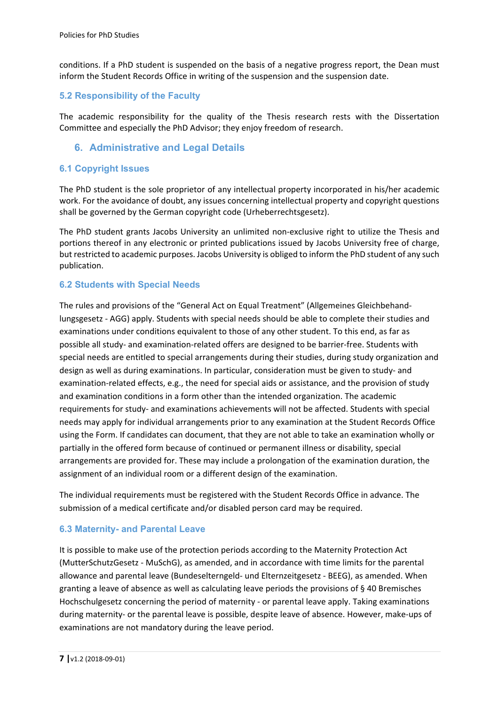conditions. If a PhD student is suspended on the basis of a negative progress report, the Dean must inform the Student Records Office in writing of the suspension and the suspension date.

## **5.2 Responsibility of the Faculty**

The academic responsibility for the quality of the Thesis research rests with the Dissertation Committee and especially the PhD Advisor; they enjoy freedom of research.

## **6. Administrative and Legal Details**

#### **6.1 Copyright Issues**

The PhD student is the sole proprietor of any intellectual property incorporated in his/her academic work. For the avoidance of doubt, any issues concerning intellectual property and copyright questions shall be governed by the German copyright code (Urheberrechtsgesetz).

The PhD student grants Jacobs University an unlimited non-exclusive right to utilize the Thesis and portions thereof in any electronic or printed publications issued by Jacobs University free of charge, but restricted to academic purposes. Jacobs University is obliged to inform the PhD student of any such publication.

#### **6.2 Students with Special Needs**

The rules and provisions of the "General Act on Equal Treatment" (Allgemeines Gleichbehand‐ lungsgesetz ‐ AGG) apply. Students with special needs should be able to complete their studies and examinations under conditions equivalent to those of any other student. To this end, as far as possible all study- and examination-related offers are designed to be barrier-free. Students with special needs are entitled to special arrangements during their studies, during study organization and design as well as during examinations. In particular, consideration must be given to study- and examination‐related effects, e.g., the need for special aids or assistance, and the provision of study and examination conditions in a form other than the intended organization. The academic requirements for study‐ and examinations achievements will not be affected. Students with special needs may apply for individual arrangements prior to any examination at the Student Records Office using the Form. If candidates can document, that they are not able to take an examination wholly or partially in the offered form because of continued or permanent illness or disability, special arrangements are provided for. These may include a prolongation of the examination duration, the assignment of an individual room or a different design of the examination.

The individual requirements must be registered with the Student Records Office in advance. The submission of a medical certificate and/or disabled person card may be required.

#### **6.3 Maternity- and Parental Leave**

It is possible to make use of the protection periods according to the Maternity Protection Act (MutterSchutzGesetz ‐ MuSchG), as amended, and in accordance with time limits for the parental allowance and parental leave (Bundeselterngeld‐ und Elternzeitgesetz ‐ BEEG), as amended. When granting a leave of absence as well as calculating leave periods the provisions of § 40 Bremisches Hochschulgesetz concerning the period of maternity - or parental leave apply. Taking examinations during maternity‐ or the parental leave is possible, despite leave of absence. However, make‐ups of examinations are not mandatory during the leave period.